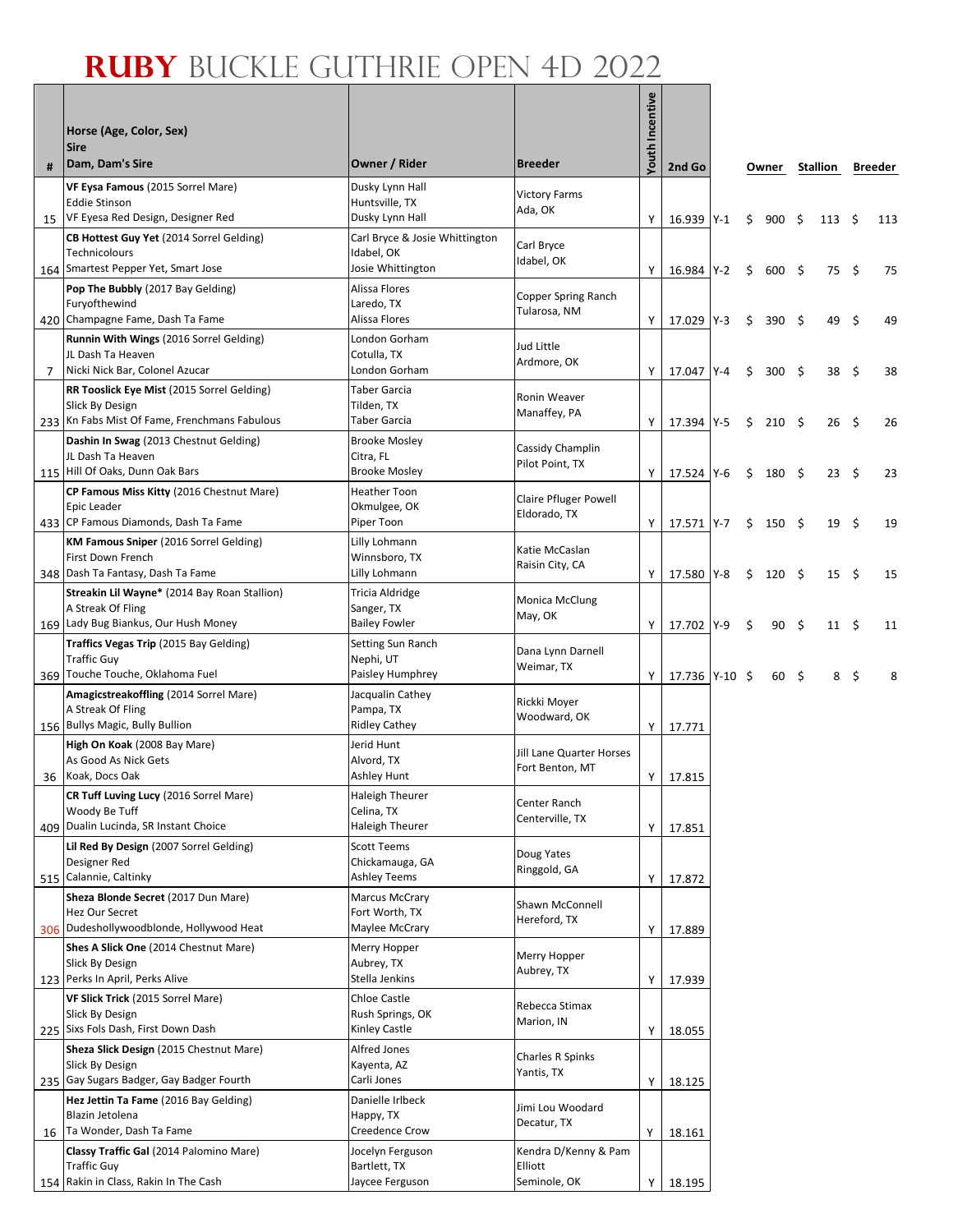|    | Horse (Age, Color, Sex)<br><b>Sire</b>                        |                                   |                                  | Incentive<br>Youth |                |    |               |      |                |      |         |
|----|---------------------------------------------------------------|-----------------------------------|----------------------------------|--------------------|----------------|----|---------------|------|----------------|------|---------|
| #  | Dam, Dam's Sire                                               | Owner / Rider                     | <b>Breeder</b>                   |                    | 2nd Go         |    | Owner         |      | Stallion       |      | Breeder |
|    | VF Eysa Famous (2015 Sorrel Mare)<br><b>Eddie Stinson</b>     | Dusky Lynn Hall                   | <b>Victory Farms</b>             |                    |                |    |               |      |                |      |         |
| 15 | VF Eyesa Red Design, Designer Red                             | Huntsville, TX<br>Dusky Lynn Hall | Ada, OK                          | Y                  | 16.939 Y-1     | Ś. | $900 \quad 5$ |      | $113 \quad$ \$ |      | 113     |
|    | CB Hottest Guy Yet (2014 Sorrel Gelding)                      | Carl Bryce & Josie Whittington    |                                  |                    |                |    |               |      |                |      |         |
|    | <b>Technicolours</b>                                          | Idabel, OK                        | Carl Bryce<br>Idabel, OK         |                    |                |    |               |      |                |      |         |
|    | 164   Smartest Pepper Yet, Smart Jose                         | Josie Whittington                 |                                  | Υ                  | 16.984 Y-2     | \$ | $600 \div$    |      | 75             | - \$ | 75      |
|    | Pop The Bubbly (2017 Bay Gelding)<br>Furyofthewind            | Alissa Flores<br>Laredo, TX       | Copper Spring Ranch              |                    |                |    |               |      |                |      |         |
|    | 420 Champagne Fame, Dash Ta Fame                              | Alissa Flores                     | Tularosa, NM                     | Y                  | 17.029 Y-3     | \$ | 390 \$        |      | 49             | -\$  | 49      |
|    | Runnin With Wings (2016 Sorrel Gelding)                       | London Gorham                     | Jud Little                       |                    |                |    |               |      |                |      |         |
|    | JL Dash Ta Heaven                                             | Cotulla, TX<br>London Gorham      | Ardmore, OK                      |                    |                |    |               |      |                |      |         |
| 7  | Nicki Nick Bar, Colonel Azucar                                | <b>Taber Garcia</b>               |                                  | Y                  | 17.047 Y-4     | \$ | 300           | - \$ | 38             | - \$ | 38      |
|    | RR Tooslick Eye Mist (2015 Sorrel Gelding)<br>Slick By Design | Tilden, TX                        | Ronin Weaver                     |                    |                |    |               |      |                |      |         |
|    | 233 Kn Fabs Mist Of Fame, Frenchmans Fabulous                 | Taber Garcia                      | Manaffey, PA                     | Y                  | 17.394 Y-5     | \$ | 210S          |      | 26             | - \$ | 26      |
|    | Dashin In Swag (2013 Chestnut Gelding)                        | <b>Brooke Mosley</b>              | Cassidy Champlin                 |                    |                |    |               |      |                |      |         |
|    | JL Dash Ta Heaven<br>115 Hill Of Oaks, Dunn Oak Bars          | Citra, FL<br><b>Brooke Mosley</b> | Pilot Point, TX                  | Y                  |                |    |               |      |                |      |         |
|    | CP Famous Miss Kitty (2016 Chestnut Mare)                     | <b>Heather Toon</b>               |                                  |                    | 17.524 Y-6     | \$ | $180 \quad $$ |      | $23 \quad$     |      | 23      |
|    | Epic Leader                                                   | Okmulgee, OK                      | <b>Claire Pfluger Powell</b>     |                    |                |    |               |      |                |      |         |
|    | 433 CP Famous Diamonds, Dash Ta Fame                          | Piper Toon                        | Eldorado, TX                     | Y                  | 17.571 Y-7     | \$ | 150 \$        |      | 19             | - \$ | 19      |
|    | <b>KM Famous Sniper</b> (2016 Sorrel Gelding)                 | Lilly Lohmann                     | Katie McCaslan                   |                    |                |    |               |      |                |      |         |
|    | First Down French<br>348   Dash Ta Fantasy, Dash Ta Fame      | Winnsboro, TX<br>Lilly Lohmann    | Raisin City, CA                  | Y                  | 17.580 Y-8     | \$ | $120 \pm$     |      | $15 \quad$ \$  |      | 15      |
|    | Streakin Lil Wayne* (2014 Bay Roan Stallion)                  | <b>Tricia Aldridge</b>            |                                  |                    |                |    |               |      |                |      |         |
|    | A Streak Of Fling                                             | Sanger, TX                        | <b>Monica McClung</b><br>May, OK |                    |                |    |               |      |                |      |         |
|    | 169 Lady Bug Biankus, Our Hush Money                          | <b>Bailey Fowler</b>              |                                  | Υ                  | 17.702 Y-9     | Ŝ. | 90            | - \$ | $11 \quad$     |      | 11      |
|    | Traffics Vegas Trip (2015 Bay Gelding)<br>Traffic Guy         | Setting Sun Ranch                 | Dana Lynn Darnell                |                    |                |    |               |      |                |      |         |
|    | 369 Touche Touche, Oklahoma Fuel                              | Nephi, UT<br>Paisley Humphrey     | Weimar, TX                       | Y                  | 17.736 Y-10 \$ |    | $60 \quad $$  |      | 8\$            |      | 8       |
|    | Amagicstreakoffling (2014 Sorrel Mare)                        | Jacqualin Cathey                  |                                  |                    |                |    |               |      |                |      |         |
|    | A Streak Of Fling                                             | Pampa, TX                         | Rickki Moyer<br>Woodward, OK     |                    |                |    |               |      |                |      |         |
|    | 156 Bullys Magic, Bully Bullion                               | <b>Ridley Cathey</b>              |                                  | Y                  | 17.771         |    |               |      |                |      |         |
|    | High On Koak (2008 Bay Mare)<br>As Good As Nick Gets          | Jerid Hunt<br>Alvord, TX          | <b>Jill Lane Quarter Horses</b>  |                    |                |    |               |      |                |      |         |
| 36 | Koak, Docs Oak                                                | Ashley Hunt                       | Fort Benton, MT                  | Y                  | 17.815         |    |               |      |                |      |         |
|    | CR Tuff Luving Lucy (2016 Sorrel Mare)                        | <b>Haleigh Theurer</b>            | Center Ranch                     |                    |                |    |               |      |                |      |         |
|    | Woody Be Tuff<br>409 Dualin Lucinda, SR Instant Choice        | Celina, TX<br>Haleigh Theurer     | Centerville, TX                  |                    |                |    |               |      |                |      |         |
|    | Lil Red By Design (2007 Sorrel Gelding)                       | <b>Scott Teems</b>                |                                  | Y                  | 17.851         |    |               |      |                |      |         |
|    | Designer Red                                                  | Chickamauga, GA                   | Doug Yates                       |                    |                |    |               |      |                |      |         |
|    | 515 Calannie, Caltinky                                        | <b>Ashley Teems</b>               | Ringgold, GA                     | Υ                  | 17.872         |    |               |      |                |      |         |
|    | Sheza Blonde Secret (2017 Dun Mare)                           | <b>Marcus McCrary</b>             | Shawn McConnell                  |                    |                |    |               |      |                |      |         |
|    | Hez Our Secret<br>306 Dudeshollywoodblonde, Hollywood Heat    | Fort Worth, TX<br>Maylee McCrary  | Hereford, TX                     | Υ                  | 17.889         |    |               |      |                |      |         |
|    | Shes A Slick One (2014 Chestnut Mare)                         | Merry Hopper                      |                                  |                    |                |    |               |      |                |      |         |
|    | Slick By Design                                               | Aubrey, TX                        | Merry Hopper<br>Aubrey, TX       |                    |                |    |               |      |                |      |         |
|    | 123 Perks In April, Perks Alive                               | Stella Jenkins                    |                                  | Υ                  | 17.939         |    |               |      |                |      |         |
|    | VF Slick Trick (2015 Sorrel Mare)<br>Slick By Design          | Chloe Castle<br>Rush Springs, OK  | Rebecca Stimax                   |                    |                |    |               |      |                |      |         |
|    | 225 Sixs Fols Dash, First Down Dash                           | Kinley Castle                     | Marion, IN                       | Υ                  | 18.055         |    |               |      |                |      |         |
|    | Sheza Slick Design (2015 Chestnut Mare)                       | Alfred Jones                      | Charles R Spinks                 |                    |                |    |               |      |                |      |         |
|    | Slick By Design                                               | Kayenta, AZ                       | Yantis, TX                       |                    |                |    |               |      |                |      |         |
|    | 235 Gay Sugars Badger, Gay Badger Fourth                      | Carli Jones                       |                                  | Υ                  | 18.125         |    |               |      |                |      |         |
|    | Hez Jettin Ta Fame (2016 Bay Gelding)<br>Blazin Jetolena      | Danielle Irlbeck<br>Happy, TX     | Jimi Lou Woodard                 |                    |                |    |               |      |                |      |         |
| 16 | Ta Wonder, Dash Ta Fame                                       | Creedence Crow                    | Decatur, TX                      | Y                  | 18.161         |    |               |      |                |      |         |
|    | Classy Traffic Gal (2014 Palomino Mare)                       | Jocelyn Ferguson                  | Kendra D/Kenny & Pam             |                    |                |    |               |      |                |      |         |
|    | Traffic Guy<br>154 Rakin in Class, Rakin In The Cash          | Bartlett, TX<br>Jaycee Ferguson   | Elliott<br>Seminole, OK          |                    |                |    |               |      |                |      |         |
|    |                                                               |                                   |                                  | Y                  | 18.195         |    |               |      |                |      |         |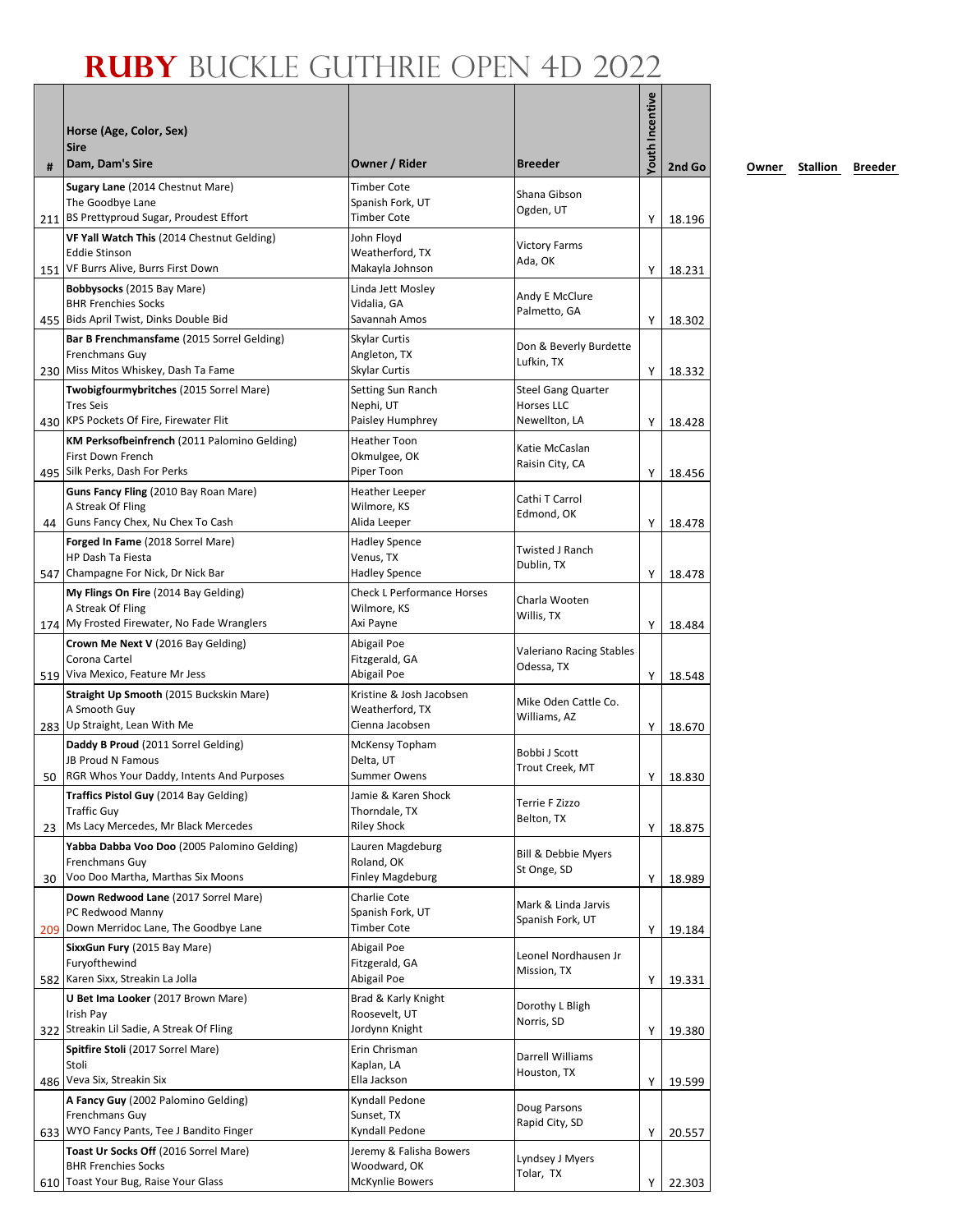| #  | Horse (Age, Color, Sex)<br><b>Sire</b><br>Dam, Dam's Sire                                                       | Owner / Rider                                                  | <b>Breeder</b>                                           | Youth Incentive | 2nd Go |
|----|-----------------------------------------------------------------------------------------------------------------|----------------------------------------------------------------|----------------------------------------------------------|-----------------|--------|
|    | Sugary Lane (2014 Chestnut Mare)<br>The Goodbye Lane<br>211 BS Prettyproud Sugar, Proudest Effort               | <b>Timber Cote</b><br>Spanish Fork, UT<br><b>Timber Cote</b>   | Shana Gibson<br>Ogden, UT                                | Υ               | 18.196 |
|    | VF Yall Watch This (2014 Chestnut Gelding)<br><b>Eddie Stinson</b><br>151 VF Burrs Alive, Burrs First Down      | John Floyd<br>Weatherford, TX<br>Makayla Johnson               | <b>Victory Farms</b><br>Ada, OK                          | Y               | 18.231 |
|    | Bobbysocks (2015 Bay Mare)<br><b>BHR Frenchies Socks</b><br>455 Bids April Twist, Dinks Double Bid              | Linda Jett Mosley<br>Vidalia, GA<br>Savannah Amos              | Andy E McClure<br>Palmetto, GA                           | Υ               | 18.302 |
|    | Bar B Frenchmansfame (2015 Sorrel Gelding)<br>Frenchmans Guy<br>230 Miss Mitos Whiskey, Dash Ta Fame            | Skylar Curtis<br>Angleton, TX<br>Skylar Curtis                 | Don & Beverly Burdette<br>Lufkin, TX                     | Y               | 18.332 |
|    | Twobigfourmybritches (2015 Sorrel Mare)<br><b>Tres Seis</b><br>430 KPS Pockets Of Fire, Firewater Flit          | Setting Sun Ranch<br>Nephi, UT<br>Paisley Humphrey             | <b>Steel Gang Quarter</b><br>Horses LLC<br>Newellton, LA | Υ               | 18.428 |
|    | KM Perksofbeinfrench (2011 Palomino Gelding)<br>First Down French<br>495 Silk Perks, Dash For Perks             | <b>Heather Toon</b><br>Okmulgee, OK<br>Piper Toon              | Katie McCaslan<br>Raisin City, CA                        | Υ               | 18.456 |
|    | Guns Fancy Fling (2010 Bay Roan Mare)<br>A Streak Of Fling<br>44 Guns Fancy Chex, Nu Chex To Cash               | <b>Heather Leeper</b><br>Wilmore, KS<br>Alida Leeper           | Cathi T Carrol<br>Edmond, OK                             | Υ               | 18.478 |
|    | Forged In Fame (2018 Sorrel Mare)<br><b>HP Dash Ta Fiesta</b><br>547 Champagne For Nick, Dr Nick Bar            | <b>Hadley Spence</b><br>Venus, TX<br><b>Hadley Spence</b>      | <b>Twisted J Ranch</b><br>Dublin, TX                     | Υ               | 18.478 |
|    | My Flings On Fire (2014 Bay Gelding)<br>A Streak Of Fling<br>174 My Frosted Firewater, No Fade Wranglers        | <b>Check L Performance Horses</b><br>Wilmore, KS<br>Axi Payne  | Charla Wooten<br>Willis, TX                              | Y               | 18.484 |
|    | Crown Me Next V (2016 Bay Gelding)<br>Corona Cartel<br>519 Viva Mexico, Feature Mr Jess                         | Abigail Poe<br>Fitzgerald, GA<br>Abigail Poe                   | Valeriano Racing Stables<br>Odessa, TX                   | Υ               | 18.548 |
|    | Straight Up Smooth (2015 Buckskin Mare)<br>A Smooth Guy<br>283 Up Straight, Lean With Me                        | Kristine & Josh Jacobsen<br>Weatherford, TX<br>Cienna Jacobsen | Mike Oden Cattle Co.<br>Williams, AZ                     | Y               | 18.670 |
|    | Daddy B Proud (2011 Sorrel Gelding)<br><b>JB Proud N Famous</b><br>50 RGR Whos Your Daddy, Intents And Purposes | McKensy Topham<br>Delta, UT<br>Summer Owens                    | Bobbi J Scott<br>Trout Creek, MT                         | Y               | 18.830 |
| 23 | Traffics Pistol Guy (2014 Bay Gelding)<br><b>Traffic Guy</b><br>Ms Lacy Mercedes, Mr Black Mercedes             | Jamie & Karen Shock<br>Thorndale, TX<br><b>Riley Shock</b>     | Terrie F Zizzo<br>Belton, TX                             | Υ               | 18.875 |
| 30 | Yabba Dabba Voo Doo (2005 Palomino Gelding)<br>Frenchmans Guy<br>Voo Doo Martha, Marthas Six Moons              | Lauren Magdeburg<br>Roland, OK<br><b>Finley Magdeburg</b>      | Bill & Debbie Myers<br>St Onge, SD                       | Υ               | 18.989 |
|    | Down Redwood Lane (2017 Sorrel Mare)<br>PC Redwood Manny<br>209 Down Merridoc Lane, The Goodbye Lane            | Charlie Cote<br>Spanish Fork, UT<br><b>Timber Cote</b>         | Mark & Linda Jarvis<br>Spanish Fork, UT                  | Υ               | 19.184 |
|    | SixxGun Fury (2015 Bay Mare)<br>Furyofthewind<br>582 Karen Sixx, Streakin La Jolla                              | Abigail Poe<br>Fitzgerald, GA<br>Abigail Poe                   | Leonel Nordhausen Jr<br>Mission, TX                      | Υ               | 19.331 |
|    | U Bet Ima Looker (2017 Brown Mare)<br>Irish Pay<br>322 Streakin Lil Sadie, A Streak Of Fling                    | Brad & Karly Knight<br>Roosevelt, UT<br>Jordynn Knight         | Dorothy L Bligh<br>Norris, SD                            | Υ               | 19.380 |
|    | <b>Spitfire Stoli</b> (2017 Sorrel Mare)<br>Stoli<br>486 Veva Six, Streakin Six                                 | Erin Chrisman<br>Kaplan, LA<br>Ella Jackson                    | Darrell Williams<br>Houston, TX                          | Υ               | 19.599 |
|    | A Fancy Guy (2002 Palomino Gelding)<br>Frenchmans Guy<br>633 WYO Fancy Pants, Tee J Bandito Finger              | Kyndall Pedone<br>Sunset, TX<br>Kyndall Pedone                 | Doug Parsons<br>Rapid City, SD                           | Υ               | 20.557 |
|    | Toast Ur Socks Off (2016 Sorrel Mare)<br><b>BHR Frenchies Socks</b><br>610 Toast Your Bug, Raise Your Glass     | Jeremy & Falisha Bowers<br>Woodward, OK<br>McKynlie Bowers     | Lyndsey J Myers<br>Tolar, TX                             | Υ               | 22.303 |

**2nd Go Owner Stallion Breeder**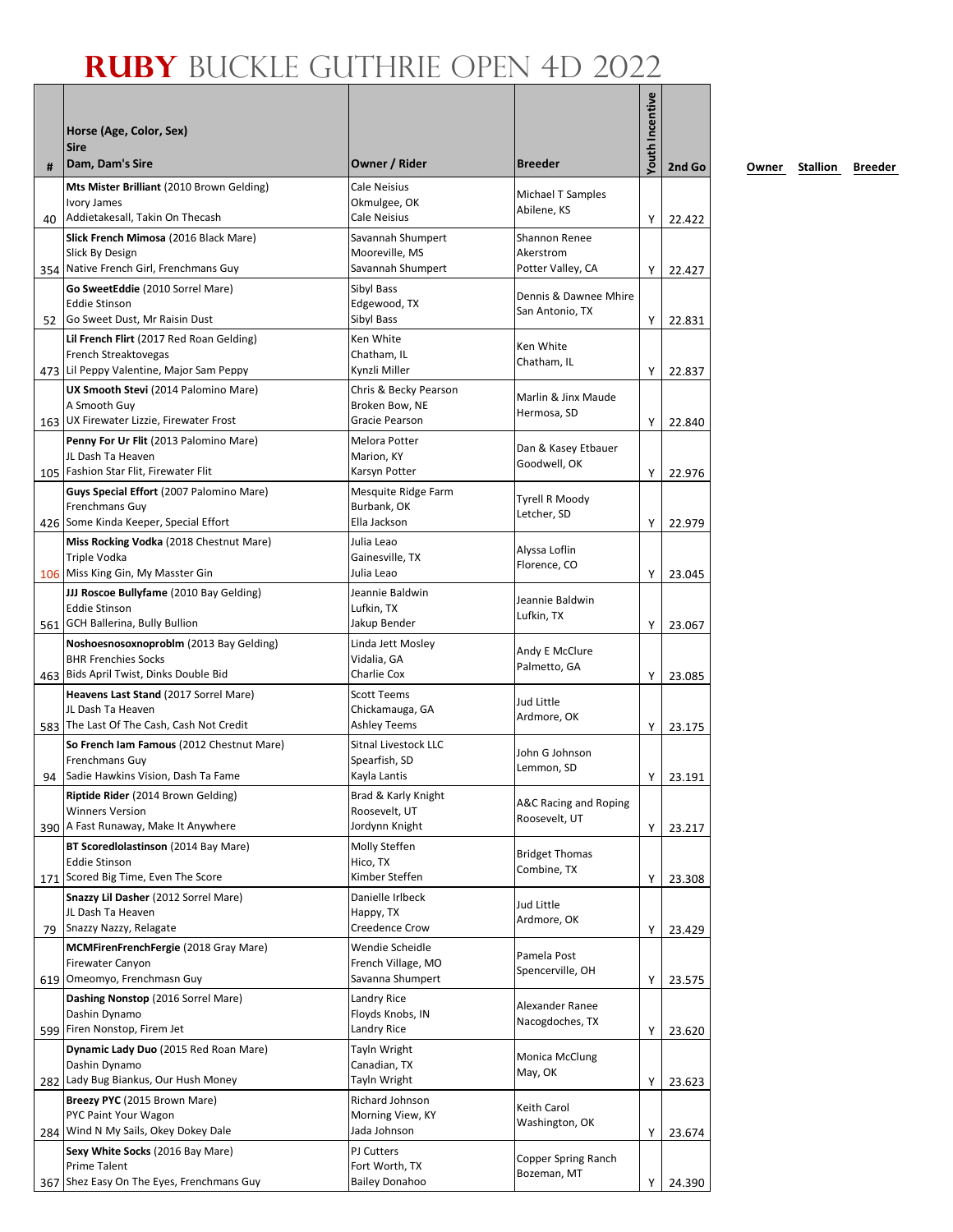| #   | Horse (Age, Color, Sex)<br><b>Sire</b><br>Dam, Dam's Sire                                                       | Owner / Rider                                                | <b>Breeder</b>                                  | Youth Incentive | 2nd Go           |
|-----|-----------------------------------------------------------------------------------------------------------------|--------------------------------------------------------------|-------------------------------------------------|-----------------|------------------|
|     | Mts Mister Brilliant (2010 Brown Gelding)<br>Ivory James<br>Addietakesall, Takin On Thecash                     | Cale Neisius<br>Okmulgee, OK<br>Cale Neisius                 | Michael T Samples<br>Abilene, KS                |                 |                  |
| 40  | Slick French Mimosa (2016 Black Mare)<br>Slick By Design<br>354 Native French Girl, Frenchmans Guy              | Savannah Shumpert<br>Mooreville, MS<br>Savannah Shumpert     | Shannon Renee<br>Akerstrom<br>Potter Valley, CA | Υ<br>Υ          | 22.422<br>22.427 |
|     | Go SweetEddie (2010 Sorrel Mare)<br><b>Eddie Stinson</b><br>52 Go Sweet Dust, Mr Raisin Dust                    | Sibyl Bass<br>Edgewood, TX<br>Sibyl Bass                     | Dennis & Dawnee Mhire<br>San Antonio, TX        | Υ               | 22.831           |
|     | Lil French Flirt (2017 Red Roan Gelding)<br>French Streaktovegas<br>473 Lil Peppy Valentine, Major Sam Peppy    | Ken White<br>Chatham, IL<br>Kynzli Miller                    | Ken White<br>Chatham, IL                        | Υ               | 22.837           |
|     | UX Smooth Stevi (2014 Palomino Mare)<br>A Smooth Guy<br>163 UX Firewater Lizzie, Firewater Frost                | Chris & Becky Pearson<br>Broken Bow, NE<br>Gracie Pearson    | Marlin & Jinx Maude<br>Hermosa, SD              | Y               | 22.840           |
|     | Penny For Ur Flit (2013 Palomino Mare)<br>JL Dash Ta Heaven<br>105 Fashion Star Flit, Firewater Flit            | Melora Potter<br>Marion, KY<br>Karsyn Potter                 | Dan & Kasey Etbauer<br>Goodwell, OK             | Y               | 22.976           |
|     | Guys Special Effort (2007 Palomino Mare)<br>Frenchmans Guy<br>426 Some Kinda Keeper, Special Effort             | Mesquite Ridge Farm<br>Burbank, OK<br>Ella Jackson           | Tyrell R Moody<br>Letcher, SD                   | Y               | 22.979           |
|     | Miss Rocking Vodka (2018 Chestnut Mare)<br>Triple Vodka<br>106 Miss King Gin, My Masster Gin                    | Julia Leao<br>Gainesville, TX<br>Julia Leao                  | Alyssa Loflin<br>Florence, CO                   | Υ               | 23.045           |
|     | JJJ Roscoe Bullyfame (2010 Bay Gelding)<br><b>Eddie Stinson</b><br>561 GCH Ballerina, Bully Bullion             | Jeannie Baldwin<br>Lufkin, TX<br>Jakup Bender                | Jeannie Baldwin<br>Lufkin, TX                   | Y               | 23.067           |
|     | Noshoesnosoxnoproblm (2013 Bay Gelding)<br><b>BHR Frenchies Socks</b><br>463 Bids April Twist, Dinks Double Bid | Linda Jett Mosley<br>Vidalia, GA<br>Charlie Cox              | Andy E McClure<br>Palmetto, GA                  | Υ               | 23.085           |
|     | Heavens Last Stand (2017 Sorrel Mare)<br>JL Dash Ta Heaven<br>583 The Last Of The Cash, Cash Not Credit         | <b>Scott Teems</b><br>Chickamauga, GA<br><b>Ashley Teems</b> | Jud Little<br>Ardmore, OK                       | Υ               | 23.175           |
|     | So French Iam Famous (2012 Chestnut Mare)<br>Frenchmans Guy<br>94 Sadie Hawkins Vision, Dash Ta Fame            | Sitnal Livestock LLC<br>Spearfish, SD<br>Kayla Lantis        | John G Johnson<br>Lemmon, SD                    | Υ               | 23.191           |
|     | Riptide Rider (2014 Brown Gelding)<br><b>Winners Version</b><br>390 A Fast Runaway, Make It Anywhere            | Brad & Karly Knight<br>Roosevelt, UT<br>Jordynn Knight       | A&C Racing and Roping<br>Roosevelt, UT          | Υ               | 23.217           |
|     | BT Scoredlolastinson (2014 Bay Mare)<br><b>Eddie Stinson</b><br>171 Scored Big Time, Even The Score             | Molly Steffen<br>Hico, TX<br>Kimber Steffen                  | <b>Bridget Thomas</b><br>Combine, TX            | Υ               | 23.308           |
| 79  | Snazzy Lil Dasher (2012 Sorrel Mare)<br>JL Dash Ta Heaven<br>Snazzy Nazzy, Relagate                             | Danielle Irlbeck<br>Happy, TX<br>Creedence Crow              | Jud Little<br>Ardmore, OK                       | Υ               | 23.429           |
|     | MCMFirenFrenchFergie (2018 Gray Mare)<br><b>Firewater Canyon</b><br>619 Omeomyo, Frenchmasn Guy                 | Wendie Scheidle<br>French Village, MO<br>Savanna Shumpert    | Pamela Post<br>Spencerville, OH                 | Υ               | 23.575           |
| 599 | Dashing Nonstop (2016 Sorrel Mare)<br>Dashin Dynamo<br>Firen Nonstop, Firem Jet                                 | Landry Rice<br>Floyds Knobs, IN<br>Landry Rice               | Alexander Ranee<br>Nacogdoches, TX              | Υ               | 23.620           |
|     | Dynamic Lady Duo (2015 Red Roan Mare)<br>Dashin Dynamo<br>282 Lady Bug Biankus, Our Hush Money                  | Tayln Wright<br>Canadian, TX<br>Tayln Wright                 | Monica McClung<br>May, OK                       | Υ               | 23.623           |
|     | Breezy PYC (2015 Brown Mare)<br>PYC Paint Your Wagon<br>284 Wind N My Sails, Okey Dokey Dale                    | Richard Johnson<br>Morning View, KY<br>Jada Johnson          | Keith Carol<br>Washington, OK                   | Υ               | 23.674           |
| 367 | Sexy White Socks (2016 Bay Mare)<br>Prime Talent<br>Shez Easy On The Eyes, Frenchmans Guy                       | PJ Cutters<br>Fort Worth, TX<br><b>Bailey Donahoo</b>        | Copper Spring Ranch<br>Bozeman, MT              | Υ               | 24.390           |

**2nd Go Owner Stallion Breeder**